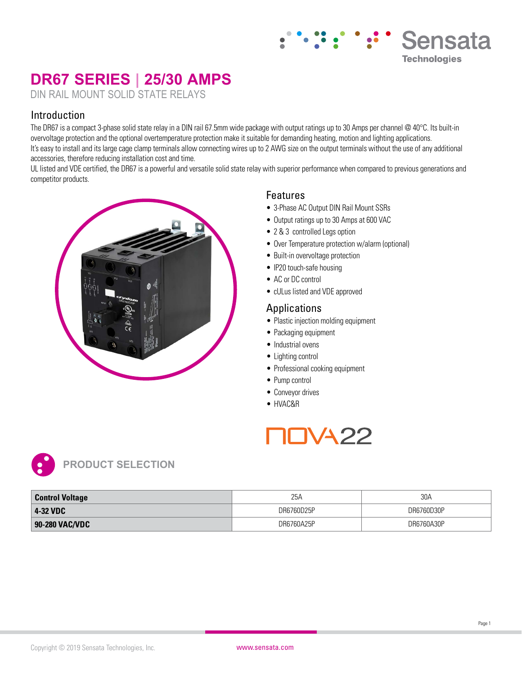# **DR67 SERIES | 25/30 AMPS**

DIN RAIL MOUNT SOLID STATE RELAYS

### Introduction

The DR67 is a compact 3-phase solid state relay in a DIN rail 67.5mm wide package with output ratings up to 30 Amps per channel @ 40°C. Its built-in overvoltage protection and the optional overtemperature protection make it suitable for demanding heating, motion and lighting applications. It's easy to install and its large cage clamp terminals allow connecting wires up to 2 AWG size on the output terminals without the use of any additional accessories, therefore reducing installation cost and time.

UL listed and VDE certified, the DR67 is a powerful and versatile solid state relay with superior performance when compared to previous generations and competitor products.



### Features

- 3-Phase AC Output DIN Rail Mount SSRs
- Output ratings up to 30 Amps at 600 VAC
- 2 & 3 controlled Legs option
- Over Temperature protection w/alarm (optional)

**Sensata** 

**Technologies** 

- Built-in overvoltage protection
- IP20 touch-safe housing
- AC or DC control
- cULus listed and VDE approved

### Applications

- Plastic injection molding equipment
- Packaging equipment
- Industrial ovens
- Lighting control
- Professional cooking equipment
- Pump control
- Conveyor drives
- HVAC&R

# TVA 22



| <b>Control Voltage</b> | 25A        | 30A        |
|------------------------|------------|------------|
| 4-32 VDC               | DR6760D25P | DR6760D30P |
| 90-280 VAC/VDC         | DR6760A25P | DR6760A30P |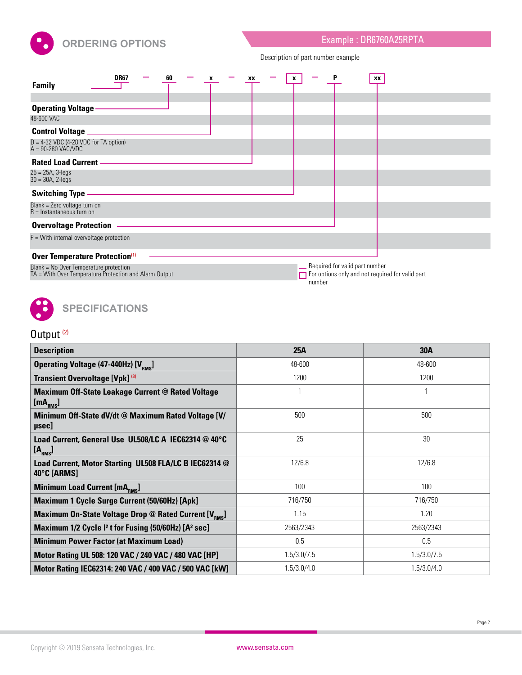

Description of part number example

| DR67<br>60<br>XX<br><b>Family</b>                                                                                                  | XX<br>x                                                                                               |
|------------------------------------------------------------------------------------------------------------------------------------|-------------------------------------------------------------------------------------------------------|
| <b>Operating Voltage</b><br>48-600 VAC                                                                                             |                                                                                                       |
| <b>Control Voltage</b><br>$D = 4-32$ VDC (4-28 VDC for TA option)<br>$A = 90-280$ VAC/VDC                                          |                                                                                                       |
| <b>Rated Load Current -</b><br>$25 = 25A, 3 - legs$<br>$30 = 30A, 2 - legs$                                                        |                                                                                                       |
| <b>Switching Type</b><br>Blank = Zero voltage turn on<br>$R =$ Instantaneous turn on                                               |                                                                                                       |
| <b>Overvoltage Protection</b>                                                                                                      |                                                                                                       |
| $P =$ With internal overvoltage protection                                                                                         |                                                                                                       |
| Over Temperature Protection(1)<br>Blank = No Over Temperature protection<br>TA = With Over Temperature Protection and Alarm Output | - Required for valid part number<br>$\Box$ For options only and not required for valid part<br>number |



# Output<sup>(2)</sup>

| <b>Description</b>                                                               | 25A         | <b>30A</b>  |
|----------------------------------------------------------------------------------|-------------|-------------|
| <b>Operating Voltage (47-440Hz) [V<sub>RMS</sub>]</b>                            | 48-600      | 48-600      |
| Transient Overvoltage [Vpk] (3)                                                  | 1200        | 1200        |
| <b>Maximum Off-State Leakage Current @ Rated Voltage</b><br>[mA <sub>RMS</sub> ] |             |             |
| Minimum Off-State dV/dt @ Maximum Rated Voltage [V/<br>µsec]                     | 500         | 500         |
| Load Current, General Use UL508/LC A IEC62314 @ 40°C<br>[A <sub>RMS</sub> ]      | 25          | 30          |
| Load Current, Motor Starting UL508 FLA/LC B IEC62314 @<br>40°C [ARMS]            | 12/6.8      | 12/6.8      |
| Minimum Load Current [mA <sub>RMS</sub> ]                                        | 100         | 100         |
| Maximum 1 Cycle Surge Current (50/60Hz) [Apk]                                    | 716/750     | 716/750     |
| Maximum On-State Voltage Drop @ Rated Current [V <sub>RMS</sub> ]                | 1.15        | 1.20        |
| Maximum 1/2 Cycle I <sup>2</sup> t for Fusing (50/60Hz) [A <sup>2</sup> sec]     | 2563/2343   | 2563/2343   |
| <b>Minimum Power Factor (at Maximum Load)</b>                                    | 0.5         | 0.5         |
| Motor Rating UL 508: 120 VAC / 240 VAC / 480 VAC [HP]                            | 1.5/3.0/7.5 | 1.5/3.0/7.5 |
| Motor Rating IEC62314: 240 VAC / 400 VAC / 500 VAC [kW]                          | 1.5/3.0/4.0 | 1.5/3.0/4.0 |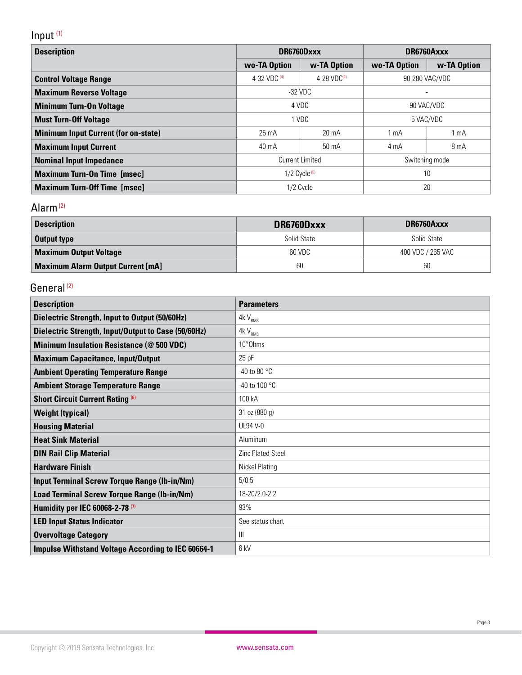# Input (1)

| <b>Description</b>                          | DR6760Dxxx                               |                 | DR6760Axxx     |                |
|---------------------------------------------|------------------------------------------|-----------------|----------------|----------------|
|                                             | wo-TA Option                             | w-TA Option     | wo-TA Option   | w-TA Option    |
| <b>Control Voltage Range</b>                | 4-32 VDC $(4)$<br>4-28 VD $C^{(4)}$      |                 | 90-280 VAC/VDC |                |
| <b>Maximum Reverse Voltage</b>              | -32 VDC                                  |                 |                |                |
| <b>Minimum Turn-On Voltage</b>              | 4 VDC<br>90 VAC/VDC                      |                 |                |                |
| <b>Must Turn-Off Voltage</b>                | 1 VDC                                    |                 | 5 VAC/VDC      |                |
| <b>Minimum Input Current (for on-state)</b> | $25 \text{ mA}$                          | $20 \text{ mA}$ | $1 \text{ mA}$ | $1 \text{ mA}$ |
| <b>Maximum Input Current</b>                | $40 \text{ mA}$<br>50 mA                 |                 | 4 mA           | 8 mA           |
| <b>Nominal Input Impedance</b>              | <b>Current Limited</b><br>Switching mode |                 |                |                |
| <b>Maximum Turn-On Time [msec]</b>          | $1/2$ Cycle $(5)$                        |                 |                | 10             |
| <b>Maximum Turn-Off Time [msec]</b>         | 1/2 Cycle                                |                 | 20             |                |

## Alarm (2)

| <b>Description</b>                       | DR6760Dxxx  | DR6760Axxx        |  |
|------------------------------------------|-------------|-------------------|--|
| <b>Output type</b>                       | Solid State | Solid State       |  |
| <b>Maximum Output Voltage</b>            | 60 VDC      | 400 VDC / 265 VAC |  |
| <b>Maximum Alarm Output Current [mA]</b> | 60          | 60                |  |

### General<sup>(2)</sup>

| <b>Description</b>                                        | <b>Parameters</b>        |
|-----------------------------------------------------------|--------------------------|
| <b>Dielectric Strength, Input to Output (50/60Hz)</b>     | $4kV_{RMS}$              |
| Dielectric Strength, Input/Output to Case (50/60Hz)       | $4kV_{RMS}$              |
| <b>Minimum Insulation Resistance (@ 500 VDC)</b>          | 10 <sup>9</sup> Ohms     |
| <b>Maximum Capacitance, Input/Output</b>                  | $25$ pF                  |
| <b>Ambient Operating Temperature Range</b>                | -40 to 80 $\degree$ C    |
| <b>Ambient Storage Temperature Range</b>                  | -40 to 100 °C            |
| <b>Short Circuit Current Rating (6)</b>                   | 100 kA                   |
| <b>Weight (typical)</b>                                   | 31 oz (880 g)            |
| <b>Housing Material</b>                                   | <b>UL94 V-0</b>          |
| <b>Heat Sink Material</b>                                 | Aluminum                 |
| <b>DIN Rail Clip Material</b>                             | <b>Zinc Plated Steel</b> |
| <b>Hardware Finish</b>                                    | <b>Nickel Plating</b>    |
| <b>Input Terminal Screw Torque Range (Ib-in/Nm)</b>       | 5/0.5                    |
| <b>Load Terminal Screw Torque Range (Ib-in/Nm)</b>        | 18-20/2.0-2.2            |
| Humidity per IEC 60068-2-78 <sup>(7)</sup>                | 93%                      |
| <b>LED Input Status Indicator</b>                         | See status chart         |
| <b>Overvoltage Category</b>                               | $\mathsf{III}$           |
| <b>Impulse Withstand Voltage According to IEC 60664-1</b> | 6 kV                     |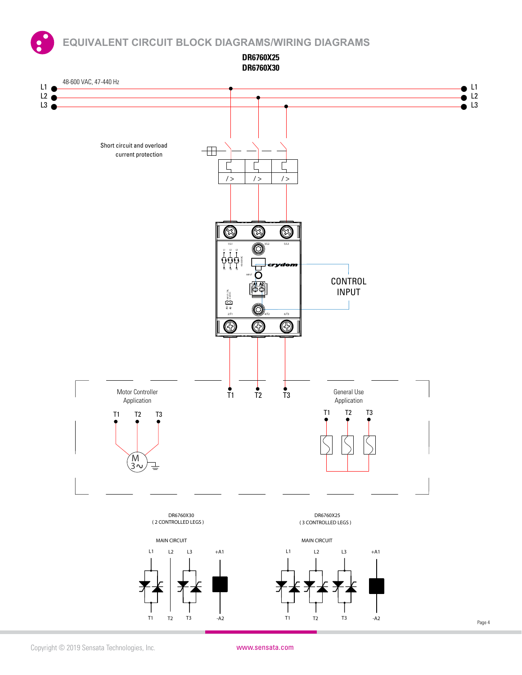**EQUIVALENT CIRCUIT BLOCK DIAGRAMS/WIRING DIAGRAMS**



Copyright © 2019 Sensata Technologies, Inc. www.sensata.com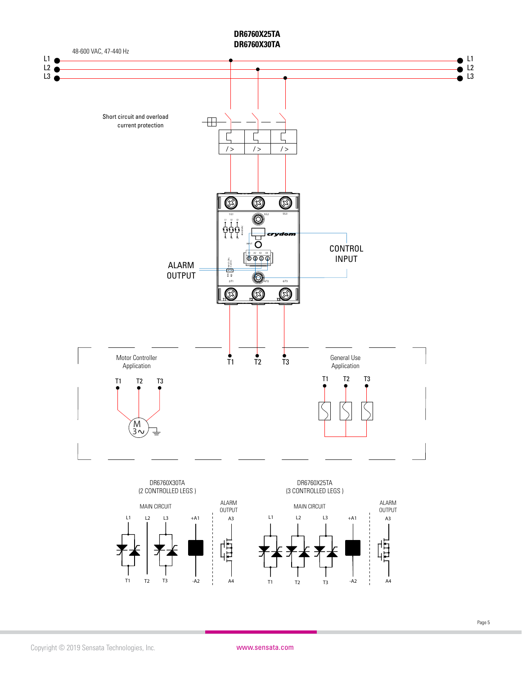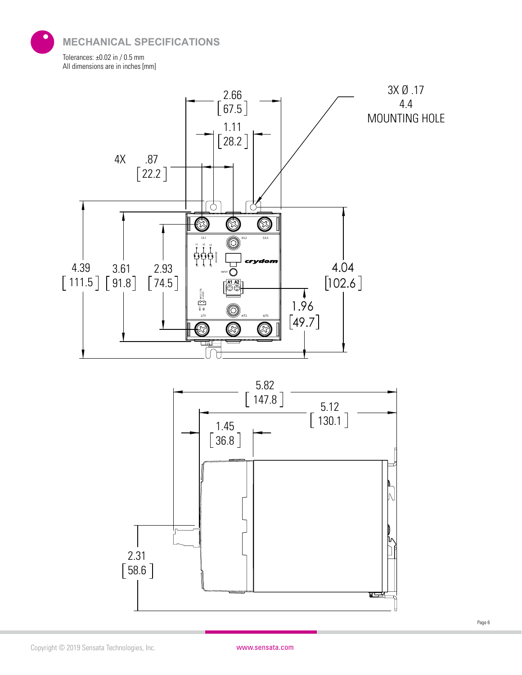**MECHANICAL SPECIFICATIONS**

Tolerances: ±0.02 in / 0.5 mm All dimensions are in inches [mm]



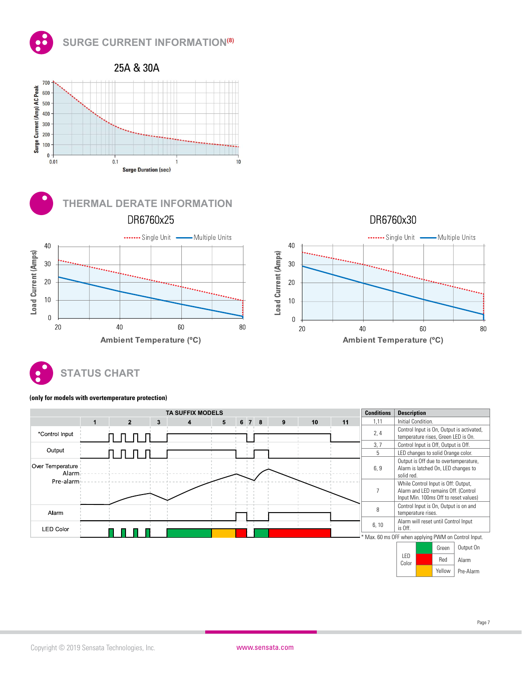







#### **(only for models with overtemperature protection)**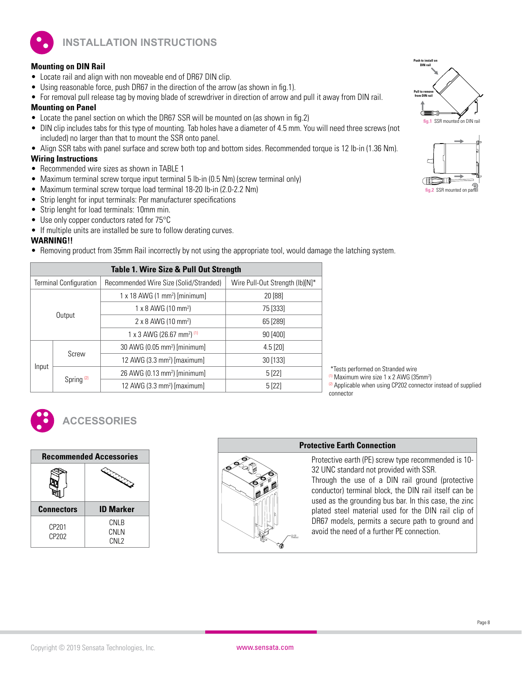

**INSTALLATION INSTRUCTIONS**

#### **Mounting on DIN Rail**

- Locate rail and align with non moveable end of DR67 DIN clip.
- Using reasonable force, push DR67 in the direction of the arrow (as shown in fig.1).
- For removal pull release tag by moving blade of screwdriver in direction of arrow and pull it away from DIN rail.

#### **Mounting on Panel**

- Locate the panel section on which the DR67 SSR will be mounted on (as shown in fig.2)
- DIN clip includes tabs for this type of mounting. Tab holes have a diameter of 4.5 mm. You will need three screws (not included) no larger than that to mount the SSR onto panel.
- Align SSR tabs with panel surface and screw both top and bottom sides. Recommended torque is 12 lb-in (1.36 Nm).

#### **Wiring Instructions**

- Recommended wire sizes as shown in TABLE 1
- Maximum terminal screw torque input terminal 5 lb-in (0.5 Nm) (screw terminal only)
- Maximum terminal screw torque load terminal 18-20 lb-in (2.0-2.2 Nm)
- Strip lenght for input terminals: Per manufacturer specifications
- Strip lenght for load terminals: 10mm min.
- Use only copper conductors rated for 75°C
- If multiple units are installed be sure to follow derating curves.

#### **WARNING!!**

• Removing product from 35mm Rail incorrectly by not using the appropriate tool, would damage the latching system.

| Table 1. Wire Size & Pull Out Strength   |                               |                                                   |                                 |
|------------------------------------------|-------------------------------|---------------------------------------------------|---------------------------------|
|                                          | <b>Terminal Configuration</b> | Recommended Wire Size (Solid/Stranded)            | Wire Pull-Out Strength (lb)[N]* |
|                                          |                               | $1 \times 18$ AWG (1 mm <sup>2</sup> ) [minimum]  | 20 [88]                         |
| Output                                   |                               | $1 \times 8$ AWG (10 mm <sup>2</sup> )            | 75 [333]                        |
|                                          |                               | 2 x 8 AWG (10 mm <sup>2</sup> )                   | 65 [289]                        |
|                                          |                               | 1 x 3 AWG (26.67 mm <sup>2</sup> ) <sup>(1)</sup> | 90 [400]                        |
| 30 AWG (0.05 mm <sup>2</sup> ) [minimum] |                               |                                                   | $4.5$ [20]                      |
| Screw                                    |                               | 12 AWG $(3.3 \text{ mm}^2)$ [maximum]             | 30 [133]                        |
| Input<br>Spring <sup>(2)</sup>           |                               | 26 AWG (0.13 mm <sup>2</sup> ) [minimum]          | 5[22]                           |
|                                          |                               | 12 AWG (3.3 mm <sup>2</sup> ) [maximum]           | 5[22]                           |

 \*Tests performed on Stranded wire <sup>(1)</sup> Maximum wire size 1 x 2 AWG (35mm<sup>2</sup>) <sup>(2)</sup> Applicable when using CP202 connector instead of supplied connector



### **ACCESSORIES**

| <b>Recommended Accessories</b> |                                                                                                                                                                                                                                |  |
|--------------------------------|--------------------------------------------------------------------------------------------------------------------------------------------------------------------------------------------------------------------------------|--|
|                                | in Carpenter Company of the Company of the Company of the Company of the Company of the Company of the Company of the Company of the Company of the Company of the Company of the Company of the Company of the Company of the |  |
| <b>Connectors</b>              | <b>ID Marker</b>                                                                                                                                                                                                               |  |
| CP201<br>CP <sub>202</sub>     | CNLB<br>CNLN                                                                                                                                                                                                                   |  |



#### **Protective Earth Connection**

Protective earth (PE) screw type recommended is 10- 32 UNC standard not provided with SSR.

Through the use of a DIN rail ground (protective conductor) terminal block, the DIN rail itself can be used as the grounding bus bar. In this case, the zinc plated steel material used for the DIN rail clip of DR67 models, permits a secure path to ground and avoid the need of a further PE connection.



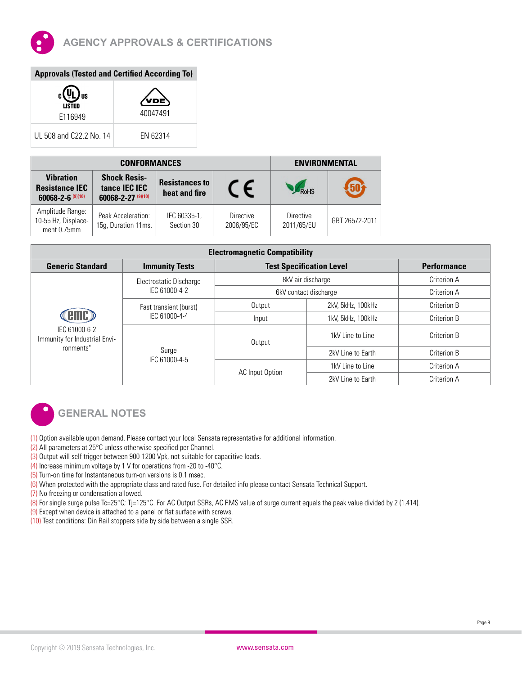

| <b>Approvals (Tested and Certified According To)</b> |  |  |
|------------------------------------------------------|--|--|
|                                                      |  |  |

| c١<br>L) us<br><b>LISTED</b><br>F116949 | 40047491 |
|-----------------------------------------|----------|
| UL 508 and C22.2 No. 14                 | FN 62314 |

| <b>CONFORMANCES</b>                                              |                                                              |                                        | <b>ENVIRONMENTAL</b>    |                                |                |
|------------------------------------------------------------------|--------------------------------------------------------------|----------------------------------------|-------------------------|--------------------------------|----------------|
| <b>Vibration</b><br><b>Resistance IEC</b><br>60068-2-6 $(9)(10)$ | <b>Shock Resis-</b><br>tance IEC IEC<br>60068-2-27 $(9)(10)$ | <b>Resistances to</b><br>heat and fire |                         | <b>RoHS</b>                    |                |
| Amplitude Range:<br>10-55 Hz, Displace-<br>ment 0.75mm           | Peak Acceleration:<br>15g, Duration 11ms.                    | IEC 60335-1,<br>Section 30             | Directive<br>2006/95/EC | <b>Directive</b><br>2011/65/EU | GBT 26572-2011 |

| <b>Electromagnetic Compatibility</b>                        |                                                  |                                 |                       |             |  |
|-------------------------------------------------------------|--------------------------------------------------|---------------------------------|-----------------------|-------------|--|
| <b>Generic Standard</b>                                     | <b>Immunity Tests</b>                            | <b>Test Specification Level</b> | <b>Performance</b>    |             |  |
|                                                             | Electrostatic Discharge                          |                                 | 8kV air discharge     |             |  |
| IEC 61000-6-2<br>Immunity for Industrial Envi-<br>ronments" | IEC 61000-4-2                                    |                                 | 6kV contact discharge |             |  |
|                                                             | Fast transient (burst)<br>IEC 61000-4-4<br>Surge | Output                          | 2kV, 5kHz, 100kHz     | Criterion B |  |
|                                                             |                                                  | Input                           | 1kV. 5kHz. 100kHz     | Criterion B |  |
|                                                             |                                                  | Output                          | 1kV Line to Line      | Criterion B |  |
|                                                             |                                                  |                                 | 2kV Line to Earth     | Criterion B |  |
|                                                             | IEC 61000-4-5                                    |                                 | 1kV Line to Line      | Criterion A |  |
|                                                             |                                                  | AC Input Option                 | 2kV Line to Earth     | Criterion A |  |



## **GENERAL NOTES**

- (1) Option available upon demand. Please contact your local Sensata representative for additional information.
- (2) All parameters at 25°C unless otherwise specified per Channel.
- (3) Output will self trigger between 900-1200 Vpk, not suitable for capacitive loads.
- (4) Increase minimum voltage by 1 V for operations from -20 to -40°C.
- (5) Turn-on time for Instantaneous turn-on versions is 0.1 msec.
- (6) When protected with the appropriate class and rated fuse. For detailed info please contact Sensata Technical Support.
- (7) No freezing or condensation allowed.
- (8) For single surge pulse Tc=25°C; Tj=125°C. For AC Output SSRs, AC RMS value of surge current equals the peak value divided by 2 (1.414).
- (9) Except when device is attached to a panel or flat surface with screws.
- (10) Test conditions: Din Rail stoppers side by side between a single SSR.